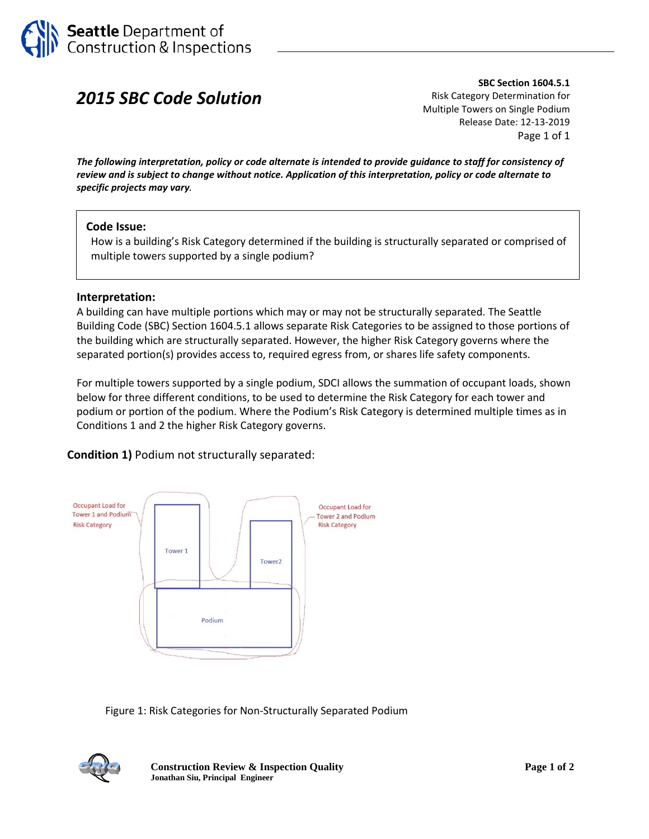

# *2015 SBC Code Solution*

**SBC Section 1604.5.1** Risk Category Determination for Multiple Towers on Single Podium Release Date: 12-13-2019 Page 1 of 1

*The following interpretation, policy or code alternate is intended to provide guidance to staff for consistency of review and is subject to change without notice. Application of this interpretation, policy or code alternate to specific projects may vary.*

#### **Code Issue:**

How is a building's Risk Category determined if the building is structurally separated or comprised of multiple towers supported by a single podium?

#### **Interpretation:**

A building can have multiple portions which may or may not be structurally separated. The Seattle Building Code (SBC) Section 1604.5.1 allows separate Risk Categories to be assigned to those portions of the building which are structurally separated. However, the higher Risk Category governs where the separated portion(s) provides access to, required egress from, or shares life safety components.

For multiple towers supported by a single podium, SDCI allows the summation of occupant loads, shown below for three different conditions, to be used to determine the Risk Category for each tower and podium or portion of the podium. Where the Podium's Risk Category is determined multiple times as in Conditions 1 and 2 the higher Risk Category governs.

**Condition 1)** Podium not structurally separated:



Figure 1: Risk Categories for Non-Structurally Separated Podium



**Construction Review & Inspection Quality Page 1 of 2 Jonathan Siu, Principal Engineer**